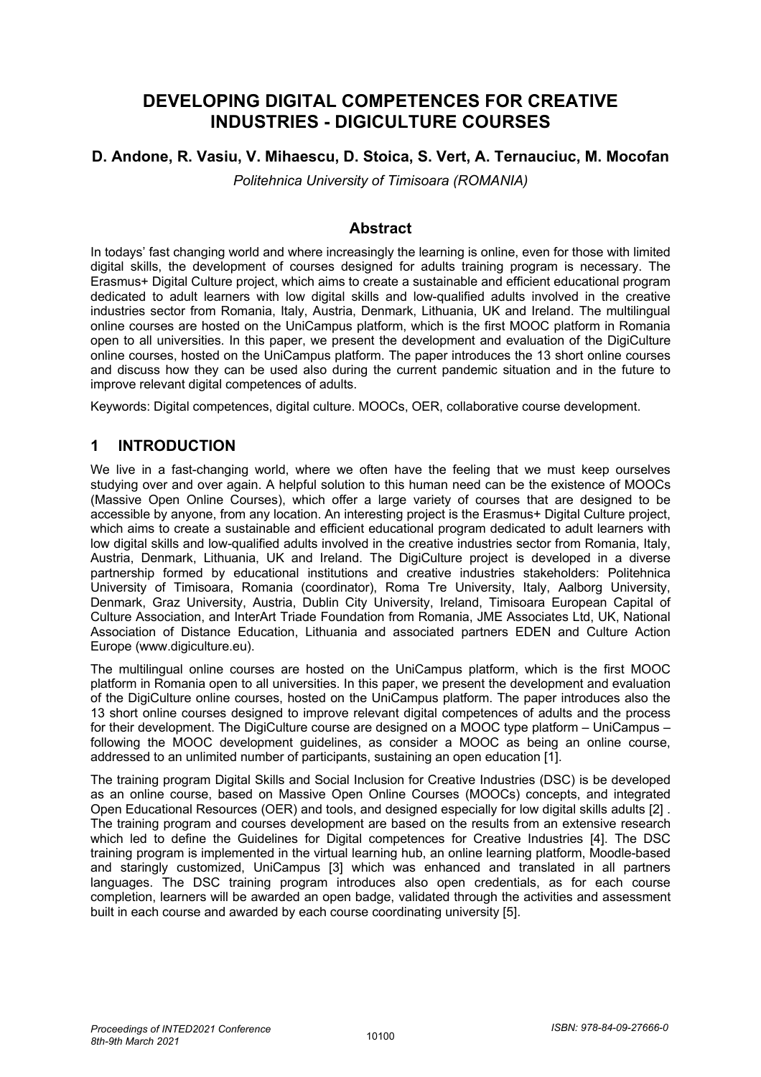# **DEVELOPING DIGITAL COMPETENCES FOR CREATIVE INDUSTRIES - DIGICULTURE COURSES**

### **D. Andone, R. Vasiu, V. Mihaescu, D. Stoica, S. Vert, A. Ternauciuc, M. Mocofan**

*Politehnica University of Timisoara (ROMANIA)*

#### **Abstract**

In todays' fast changing world and where increasingly the learning is online, even for those with limited digital skills, the development of courses designed for adults training program is necessary. The Erasmus+ Digital Culture project, which aims to create a sustainable and efficient educational program dedicated to adult learners with low digital skills and low-qualified adults involved in the creative industries sector from Romania, Italy, Austria, Denmark, Lithuania, UK and Ireland. The multilingual online courses are hosted on the UniCampus platform, which is the first MOOC platform in Romania open to all universities. In this paper, we present the development and evaluation of the DigiCulture online courses, hosted on the UniCampus platform. The paper introduces the 13 short online courses and discuss how they can be used also during the current pandemic situation and in the future to improve relevant digital competences of adults.

Keywords: Digital competences, digital culture. MOOCs, OER, collaborative course development.

### **1 INTRODUCTION**

We live in a fast-changing world, where we often have the feeling that we must keep ourselves studying over and over again. A helpful solution to this human need can be the existence of MOOCs (Massive Open Online Courses), which offer a large variety of courses that are designed to be accessible by anyone, from any location. An interesting project is the Erasmus+ Digital Culture project, which aims to create a sustainable and efficient educational program dedicated to adult learners with low digital skills and low-qualified adults involved in the creative industries sector from Romania, Italy, Austria, Denmark, Lithuania, UK and Ireland. The DigiCulture project is developed in a diverse partnership formed by educational institutions and creative industries stakeholders: Politehnica University of Timisoara, Romania (coordinator), Roma Tre University, Italy, Aalborg University, Denmark, Graz University, Austria, Dublin City University, Ireland, Timisoara European Capital of Culture Association, and InterArt Triade Foundation from Romania, JME Associates Ltd, UK, National Association of Distance Education, Lithuania and associated partners EDEN and Culture Action Europe (www.digiculture.eu).

The multilingual online courses are hosted on the UniCampus platform, which is the first MOOC platform in Romania open to all universities. In this paper, we present the development and evaluation of the DigiCulture online courses, hosted on the UniCampus platform. The paper introduces also the 13 short online courses designed to improve relevant digital competences of adults and the process for their development. The DigiCulture course are designed on a MOOC type platform – UniCampus – following the MOOC development guidelines, as consider a MOOC as being an online course, addressed to an unlimited number of participants, sustaining an open education [1].

The training program Digital Skills and Social Inclusion for Creative Industries (DSC) is be developed as an online course, based on Massive Open Online Courses (MOOCs) concepts, and integrated Open Educational Resources (OER) and tools, and designed especially for low digital skills adults [2] . The training program and courses development are based on the results from an extensive research which led to define the Guidelines for Digital competences for Creative Industries [4]. The DSC training program is implemented in the virtual learning hub, an online learning platform, Moodle-based and staringly customized, UniCampus [3] which was enhanced and translated in all partners languages. The DSC training program introduces also open credentials, as for each course completion, learners will be awarded an open badge, validated through the activities and assessment built in each course and awarded by each course coordinating university [5].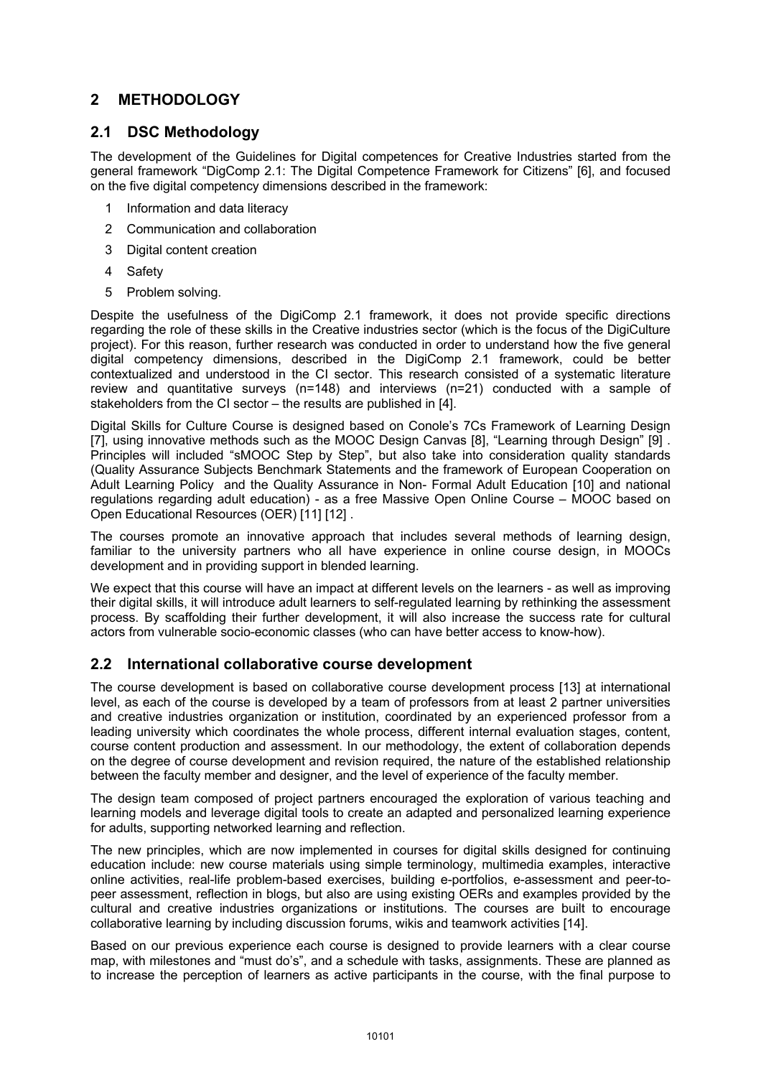# **2 METHODOLOGY**

# **2.1 DSC Methodology**

The development of the Guidelines for Digital competences for Creative Industries started from the general framework "DigComp 2.1: The Digital Competence Framework for Citizens" [6], and focused on the five digital competency dimensions described in the framework:

- 1 Information and data literacy
- 2 Communication and collaboration
- 3 Digital content creation
- 4 Safety
- 5 Problem solving.

Despite the usefulness of the DigiComp 2.1 framework, it does not provide specific directions regarding the role of these skills in the Creative industries sector (which is the focus of the DigiCulture project). For this reason, further research was conducted in order to understand how the five general digital competency dimensions, described in the DigiComp 2.1 framework, could be better contextualized and understood in the CI sector. This research consisted of a systematic literature review and quantitative surveys (n=148) and interviews (n=21) conducted with a sample of stakeholders from the CI sector – the results are published in [4].

Digital Skills for Culture Course is designed based on Conole's 7Cs Framework of Learning Design [7], using innovative methods such as the MOOC Design Canvas [8], "Learning through Design" [9] . Principles will included "sMOOC Step by Step", but also take into consideration quality standards (Quality Assurance Subjects Benchmark Statements and the framework of European Cooperation on Adult Learning Policy and the Quality Assurance in Non- Formal Adult Education [10] and national regulations regarding adult education) - as a free Massive Open Online Course – MOOC based on Open Educational Resources (OER) [11] [12] .

The courses promote an innovative approach that includes several methods of learning design, familiar to the university partners who all have experience in online course design, in MOOCs development and in providing support in blended learning.

We expect that this course will have an impact at different levels on the learners - as well as improving their digital skills, it will introduce adult learners to self-regulated learning by rethinking the assessment process. By scaffolding their further development, it will also increase the success rate for cultural actors from vulnerable socio-economic classes (who can have better access to know-how).

# **2.2 International collaborative course development**

The course development is based on collaborative course development process [13] at international level, as each of the course is developed by a team of professors from at least 2 partner universities and creative industries organization or institution, coordinated by an experienced professor from a leading university which coordinates the whole process, different internal evaluation stages, content, course content production and assessment. In our methodology, the extent of collaboration depends on the degree of course development and revision required, the nature of the established relationship between the faculty member and designer, and the level of experience of the faculty member.

The design team composed of project partners encouraged the exploration of various teaching and learning models and leverage digital tools to create an adapted and personalized learning experience for adults, supporting networked learning and reflection.

The new principles, which are now implemented in courses for digital skills designed for continuing education include: new course materials using simple terminology, multimedia examples, interactive online activities, real-life problem-based exercises, building e-portfolios, e-assessment and peer-topeer assessment, reflection in blogs, but also are using existing OERs and examples provided by the cultural and creative industries organizations or institutions. The courses are built to encourage collaborative learning by including discussion forums, wikis and teamwork activities [14].

Based on our previous experience each course is designed to provide learners with a clear course map, with milestones and "must do's", and a schedule with tasks, assignments. These are planned as to increase the perception of learners as active participants in the course, with the final purpose to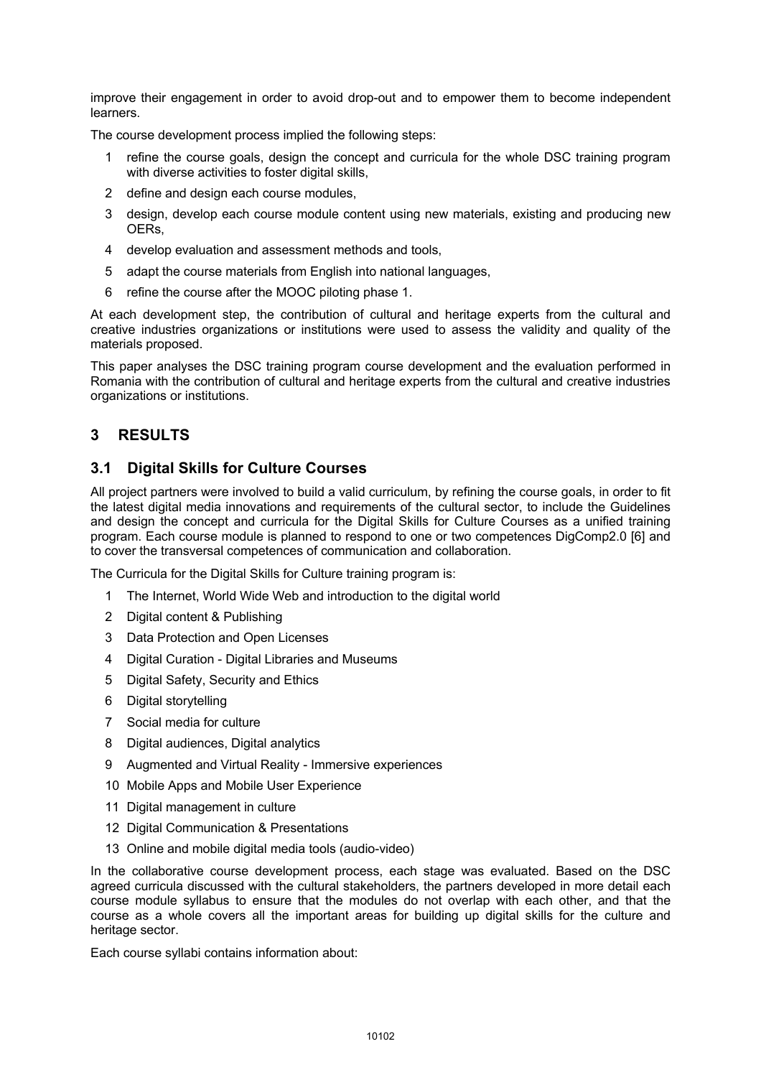improve their engagement in order to avoid drop-out and to empower them to become independent learners.

The course development process implied the following steps:

- 1 refine the course goals, design the concept and curricula for the whole DSC training program with diverse activities to foster digital skills.
- 2 define and design each course modules.
- 3 design, develop each course module content using new materials, existing and producing new OERs,
- 4 develop evaluation and assessment methods and tools,
- 5 adapt the course materials from English into national languages,
- 6 refine the course after the MOOC piloting phase 1.

At each development step, the contribution of cultural and heritage experts from the cultural and creative industries organizations or institutions were used to assess the validity and quality of the materials proposed.

This paper analyses the DSC training program course development and the evaluation performed in Romania with the contribution of cultural and heritage experts from the cultural and creative industries organizations or institutions.

# **3 RESULTS**

### **3.1 Digital Skills for Culture Courses**

All project partners were involved to build a valid curriculum, by refining the course goals, in order to fit the latest digital media innovations and requirements of the cultural sector, to include the Guidelines and design the concept and curricula for the Digital Skills for Culture Courses as a unified training program. Each course module is planned to respond to one or two competences DigComp2.0 [6] and to cover the transversal competences of communication and collaboration.

The Curricula for the Digital Skills for Culture training program is:

- 1 The Internet, World Wide Web and introduction to the digital world
- 2 Digital content & Publishing
- 3 Data Protection and Open Licenses
- 4 Digital Curation Digital Libraries and Museums
- 5 Digital Safety, Security and Ethics
- 6 Digital storytelling
- 7 Social media for culture
- 8 Digital audiences, Digital analytics
- 9 Augmented and Virtual Reality Immersive experiences
- 10 Mobile Apps and Mobile User Experience
- 11 Digital management in culture
- 12 Digital Communication & Presentations
- 13 Online and mobile digital media tools (audio-video)

In the collaborative course development process, each stage was evaluated. Based on the DSC agreed curricula discussed with the cultural stakeholders, the partners developed in more detail each course module syllabus to ensure that the modules do not overlap with each other, and that the course as a whole covers all the important areas for building up digital skills for the culture and heritage sector.

Each course syllabi contains information about: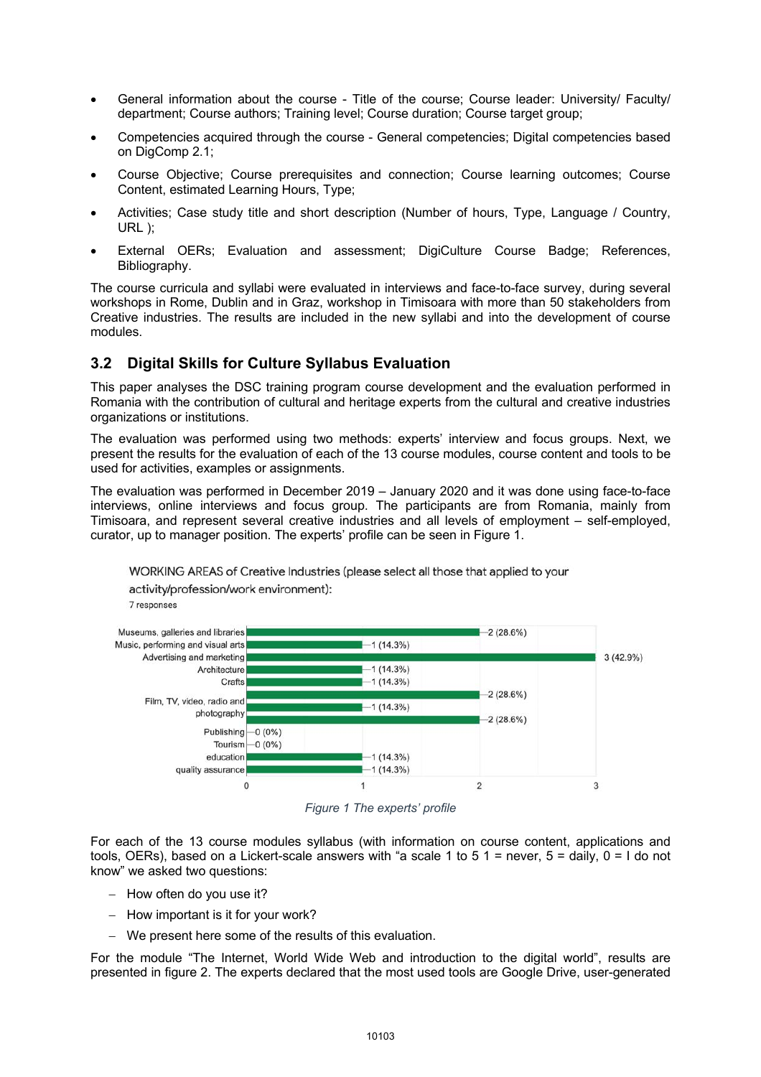- General information about the course Title of the course; Course leader: University/ Faculty/ department; Course authors; Training level; Course duration; Course target group;
- Competencies acquired through the course General competencies; Digital competencies based on DigComp 2.1;
- Course Objective; Course prerequisites and connection; Course learning outcomes; Course Content, estimated Learning Hours, Type;
- Activities; Case study title and short description (Number of hours, Type, Language / Country, URL );
- External OERs; Evaluation and assessment; DigiCulture Course Badge; References, Bibliography.

The course curricula and syllabi were evaluated in interviews and face-to-face survey, during several workshops in Rome, Dublin and in Graz, workshop in Timisoara with more than 50 stakeholders from Creative industries. The results are included in the new syllabi and into the development of course modules.

# **3.2 Digital Skills for Culture Syllabus Evaluation**

This paper analyses the DSC training program course development and the evaluation performed in Romania with the contribution of cultural and heritage experts from the cultural and creative industries organizations or institutions.

The evaluation was performed using two methods: experts' interview and focus groups. Next, we present the results for the evaluation of each of the 13 course modules, course content and tools to be used for activities, examples or assignments.

The evaluation was performed in December 2019 – January 2020 and it was done using face-to-face interviews, online interviews and focus group. The participants are from Romania, mainly from Timisoara, and represent several creative industries and all levels of employment – self-employed, curator, up to manager position. The experts' profile can be seen in Figure 1.

WORKING AREAS of Creative Industries (please select all those that applied to your



*Figure 1 The experts' profile*

For each of the 13 course modules syllabus (with information on course content, applications and tools, OERs), based on a Lickert-scale answers with "a scale 1 to 5 1 = never,  $5 = \text{daily}$ ,  $0 = 1$  do not know" we asked two questions:

- How often do you use it?
- How important is it for your work?

activity/profession/work environment):

- We present here some of the results of this evaluation.

For the module "The Internet, World Wide Web and introduction to the digital world", results are presented in figure 2. The experts declared that the most used tools are Google Drive, user-generated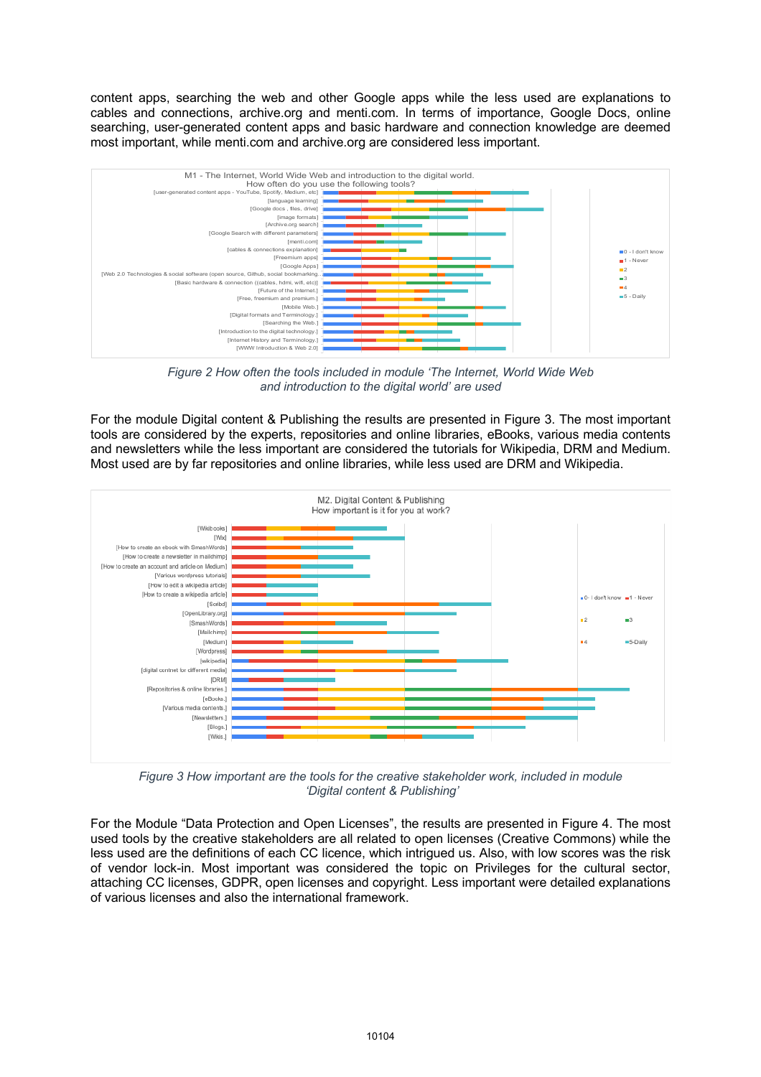content apps, searching the web and other Google apps while the less used are explanations to cables and connections, archive.org and menti.com. In terms of importance, Google Docs, online searching, user-generated content apps and basic hardware and connection knowledge are deemed most important, while menti.com and archive.org are considered less important.



*Figure 2 How often the tools included in module 'The Internet, World Wide Web and introduction to the digital world' are used*

For the module Digital content & Publishing the results are presented in Figure 3. The most important tools are considered by the experts, repositories and online libraries, eBooks, various media contents and newsletters while the less important are considered the tutorials for Wikipedia, DRM and Medium. Most used are by far repositories and online libraries, while less used are DRM and Wikipedia.



*Figure 3 How important are the tools for the creative stakeholder work, included in module 'Digital content & Publishing'* 

For the Module "Data Protection and Open Licenses", the results are presented in Figure 4. The most used tools by the creative stakeholders are all related to open licenses (Creative Commons) while the less used are the definitions of each CC licence, which intrigued us. Also, with low scores was the risk of vendor lock-in. Most important was considered the topic on Privileges for the cultural sector, attaching CC licenses, GDPR, open licenses and copyright. Less important were detailed explanations of various licenses and also the international framework.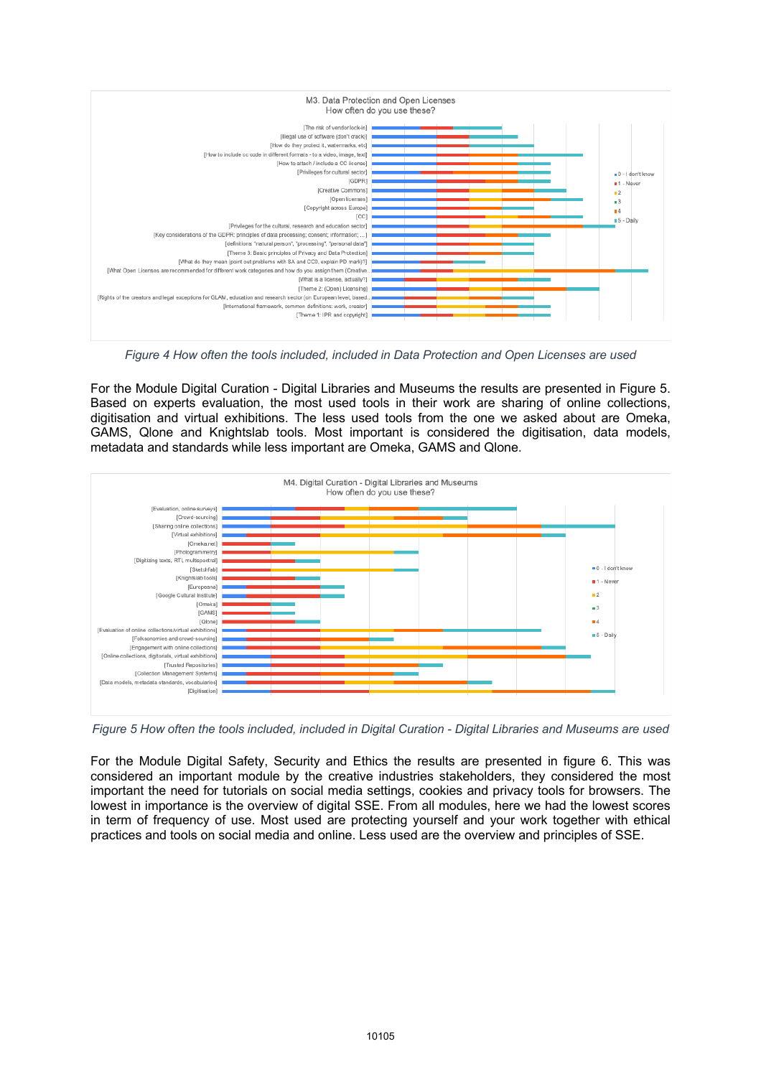

*Figure 4 How often the tools included, included in Data Protection and Open Licenses are used*

For the Module Digital Curation - Digital Libraries and Museums the results are presented in Figure 5. Based on experts evaluation, the most used tools in their work are sharing of online collections, digitisation and virtual exhibitions. The less used tools from the one we asked about are Omeka, GAMS, Qlone and Knightslab tools. Most important is considered the digitisation, data models, metadata and standards while less important are Omeka, GAMS and Qlone.



*Figure 5 How often the tools included, included in Digital Curation - Digital Libraries and Museums are used*

For the Module Digital Safety, Security and Ethics the results are presented in figure 6. This was considered an important module by the creative industries stakeholders, they considered the most important the need for tutorials on social media settings, cookies and privacy tools for browsers. The lowest in importance is the overview of digital SSE. From all modules, here we had the lowest scores in term of frequency of use. Most used are protecting yourself and your work together with ethical practices and tools on social media and online. Less used are the overview and principles of SSE.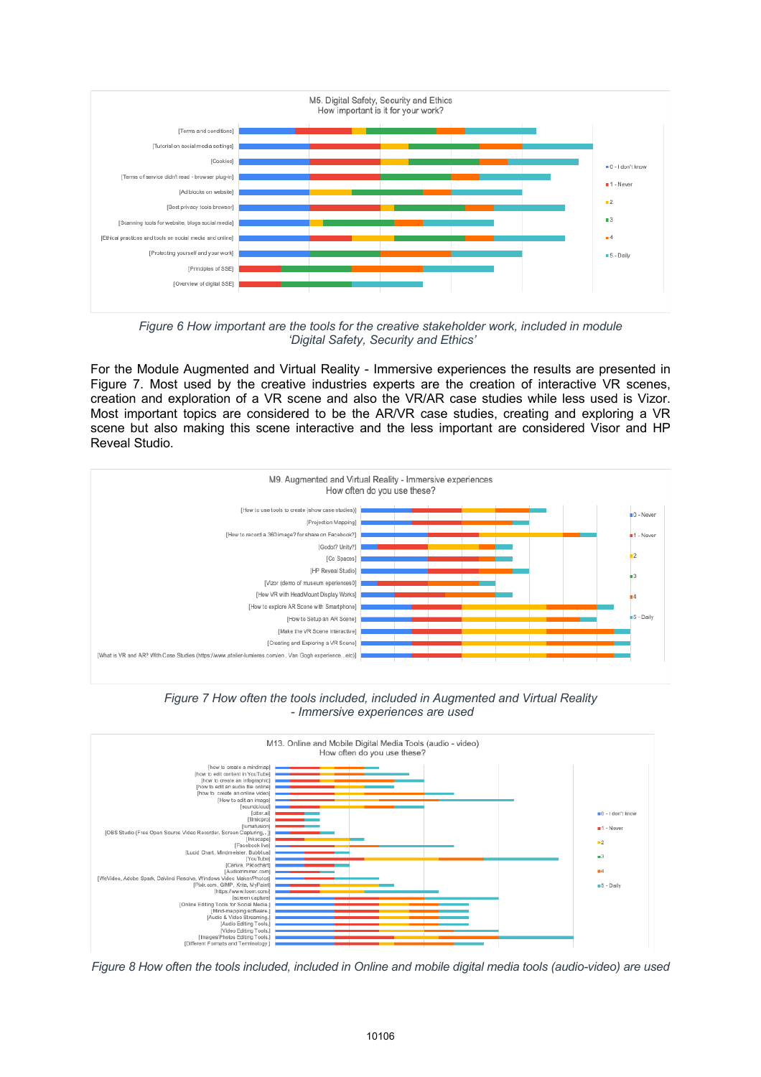

*Figure 6 How important are the tools for the creative stakeholder work, included in module 'Digital Safety, Security and Ethics'* 

For the Module Augmented and Virtual Reality - Immersive experiences the results are presented in Figure 7. Most used by the creative industries experts are the creation of interactive VR scenes, creation and exploration of a VR scene and also the VR/AR case studies while less used is Vizor. Most important topics are considered to be the AR/VR case studies, creating and exploring a VR scene but also making this scene interactive and the less important are considered Visor and HP Reveal Studio.



*Figure 7 How often the tools included, included in Augmented and Virtual Reality - Immersive experiences are used*



*Figure 8 How often the tools included, included in Online and mobile digital media tools (audio-video) are used*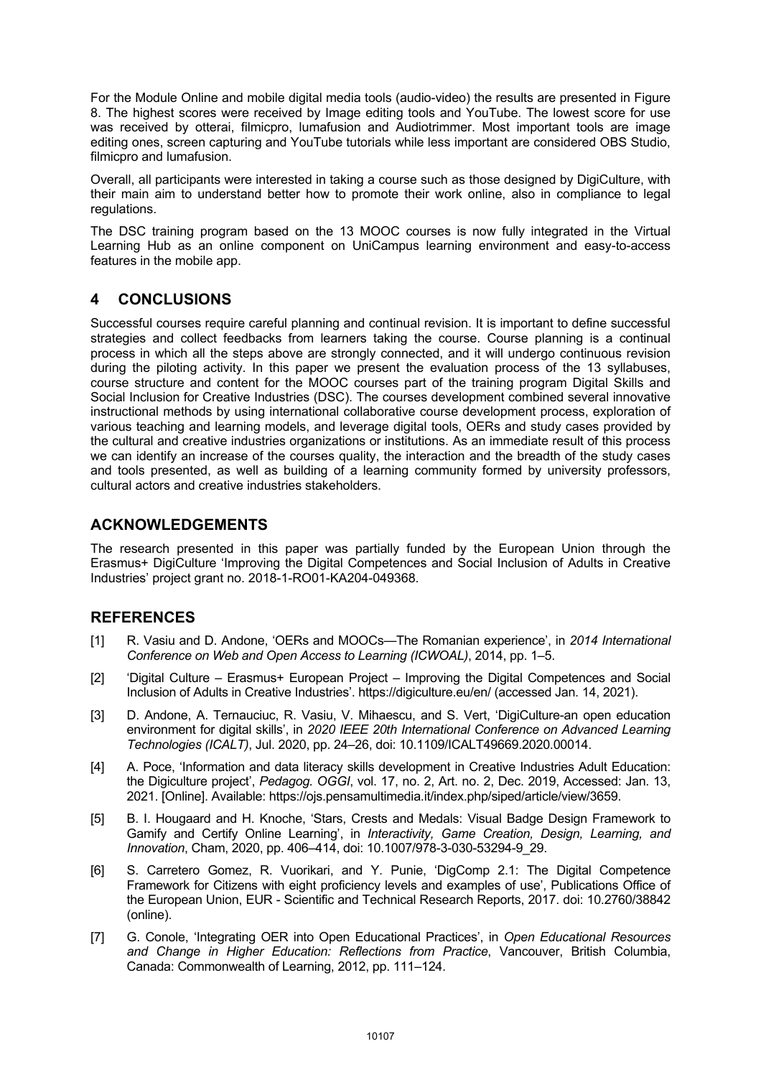For the Module Online and mobile digital media tools (audio-video) the results are presented in Figure 8. The highest scores were received by Image editing tools and YouTube. The lowest score for use was received by otterai, filmicpro, lumafusion and Audiotrimmer. Most important tools are image editing ones, screen capturing and YouTube tutorials while less important are considered OBS Studio, filmicpro and lumafusion.

Overall, all participants were interested in taking a course such as those designed by DigiCulture, with their main aim to understand better how to promote their work online, also in compliance to legal regulations.

The DSC training program based on the 13 MOOC courses is now fully integrated in the Virtual Learning Hub as an online component on UniCampus learning environment and easy-to-access features in the mobile app.

# **4 CONCLUSIONS**

Successful courses require careful planning and continual revision. It is important to define successful strategies and collect feedbacks from learners taking the course. Course planning is a continual process in which all the steps above are strongly connected, and it will undergo continuous revision during the piloting activity. In this paper we present the evaluation process of the 13 syllabuses, course structure and content for the MOOC courses part of the training program Digital Skills and Social Inclusion for Creative Industries (DSC). The courses development combined several innovative instructional methods by using international collaborative course development process, exploration of various teaching and learning models, and leverage digital tools, OERs and study cases provided by the cultural and creative industries organizations or institutions. As an immediate result of this process we can identify an increase of the courses quality, the interaction and the breadth of the study cases and tools presented, as well as building of a learning community formed by university professors, cultural actors and creative industries stakeholders.

### **ACKNOWLEDGEMENTS**

The research presented in this paper was partially funded by the European Union through the Erasmus+ DigiCulture 'Improving the Digital Competences and Social Inclusion of Adults in Creative Industries' project grant no. 2018-1-RO01-KA204-049368.

# **REFERENCES**

- [1] R. Vasiu and D. Andone, 'OERs and MOOCs—The Romanian experience', in *2014 International Conference on Web and Open Access to Learning (ICWOAL)*, 2014, pp. 1–5.
- [2] 'Digital Culture Erasmus+ European Project Improving the Digital Competences and Social Inclusion of Adults in Creative Industries'. https://digiculture.eu/en/ (accessed Jan. 14, 2021).
- [3] D. Andone, A. Ternauciuc, R. Vasiu, V. Mihaescu, and S. Vert, 'DigiCulture-an open education environment for digital skills', in *2020 IEEE 20th International Conference on Advanced Learning Technologies (ICALT)*, Jul. 2020, pp. 24–26, doi: 10.1109/ICALT49669.2020.00014.
- [4] A. Poce, 'Information and data literacy skills development in Creative Industries Adult Education: the Digiculture project', *Pedagog. OGGI*, vol. 17, no. 2, Art. no. 2, Dec. 2019, Accessed: Jan. 13, 2021. [Online]. Available: https://ojs.pensamultimedia.it/index.php/siped/article/view/3659.
- [5] B. I. Hougaard and H. Knoche, 'Stars, Crests and Medals: Visual Badge Design Framework to Gamify and Certify Online Learning', in *Interactivity, Game Creation, Design, Learning, and Innovation*, Cham, 2020, pp. 406–414, doi: 10.1007/978-3-030-53294-9\_29.
- [6] S. Carretero Gomez, R. Vuorikari, and Y. Punie, 'DigComp 2.1: The Digital Competence Framework for Citizens with eight proficiency levels and examples of use', Publications Office of the European Union, EUR - Scientific and Technical Research Reports, 2017. doi: 10.2760/38842 (online).
- [7] G. Conole, 'Integrating OER into Open Educational Practices', in *Open Educational Resources and Change in Higher Education: Reflections from Practice*, Vancouver, British Columbia, Canada: Commonwealth of Learning, 2012, pp. 111–124.